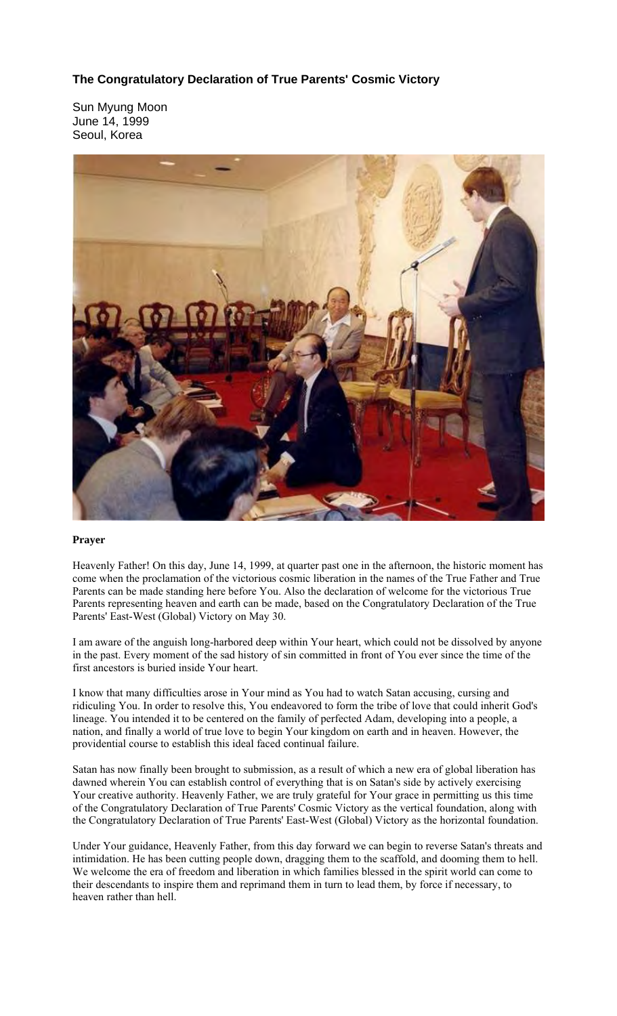## **The Congratulatory Declaration of True Parents' Cosmic Victory**

Sun Myung Moon June 14, 1999 Seoul, Korea



## **Prayer**

Heavenly Father! On this day, June 14, 1999, at quarter past one in the afternoon, the historic moment has come when the proclamation of the victorious cosmic liberation in the names of the True Father and True Parents can be made standing here before You. Also the declaration of welcome for the victorious True Parents representing heaven and earth can be made, based on the Congratulatory Declaration of the True Parents' East-West (Global) Victory on May 30.

I am aware of the anguish long-harbored deep within Your heart, which could not be dissolved by anyone in the past. Every moment of the sad history of sin committed in front of You ever since the time of the first ancestors is buried inside Your heart.

I know that many difficulties arose in Your mind as You had to watch Satan accusing, cursing and ridiculing You. In order to resolve this, You endeavored to form the tribe of love that could inherit God's lineage. You intended it to be centered on the family of perfected Adam, developing into a people, a nation, and finally a world of true love to begin Your kingdom on earth and in heaven. However, the providential course to establish this ideal faced continual failure.

Satan has now finally been brought to submission, as a result of which a new era of global liberation has dawned wherein You can establish control of everything that is on Satan's side by actively exercising Your creative authority. Heavenly Father, we are truly grateful for Your grace in permitting us this time of the Congratulatory Declaration of True Parents' Cosmic Victory as the vertical foundation, along with the Congratulatory Declaration of True Parents' East-West (Global) Victory as the horizontal foundation.

Under Your guidance, Heavenly Father, from this day forward we can begin to reverse Satan's threats and intimidation. He has been cutting people down, dragging them to the scaffold, and dooming them to hell. We welcome the era of freedom and liberation in which families blessed in the spirit world can come to their descendants to inspire them and reprimand them in turn to lead them, by force if necessary, to heaven rather than hell.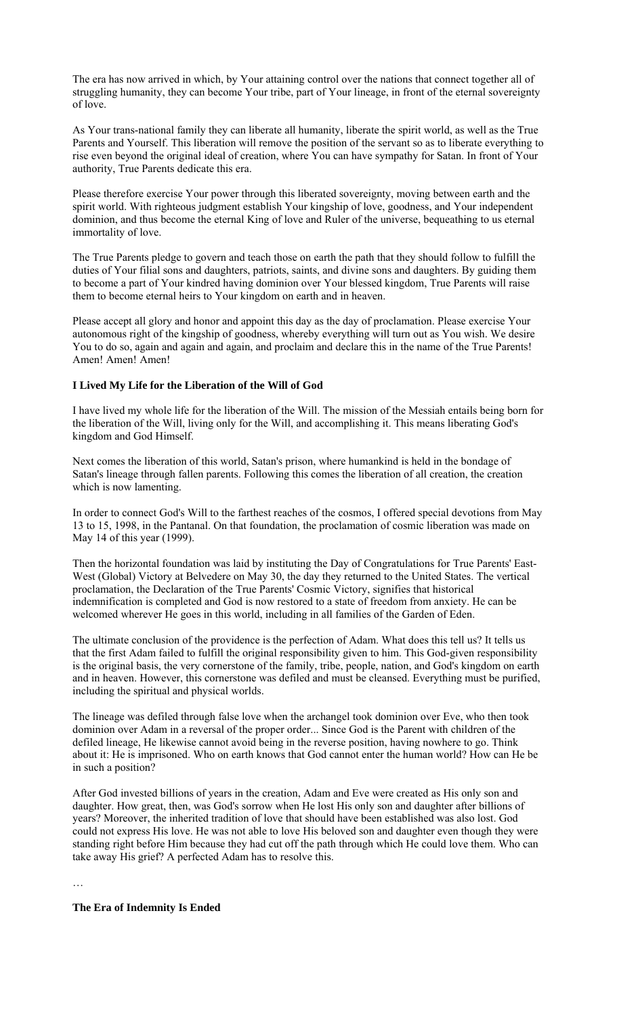The era has now arrived in which, by Your attaining control over the nations that connect together all of struggling humanity, they can become Your tribe, part of Your lineage, in front of the eternal sovereignty of love.

As Your trans-national family they can liberate all humanity, liberate the spirit world, as well as the True Parents and Yourself. This liberation will remove the position of the servant so as to liberate everything to rise even beyond the original ideal of creation, where You can have sympathy for Satan. In front of Your authority, True Parents dedicate this era.

Please therefore exercise Your power through this liberated sovereignty, moving between earth and the spirit world. With righteous judgment establish Your kingship of love, goodness, and Your independent dominion, and thus become the eternal King of love and Ruler of the universe, bequeathing to us eternal immortality of love.

The True Parents pledge to govern and teach those on earth the path that they should follow to fulfill the duties of Your filial sons and daughters, patriots, saints, and divine sons and daughters. By guiding them to become a part of Your kindred having dominion over Your blessed kingdom, True Parents will raise them to become eternal heirs to Your kingdom on earth and in heaven.

Please accept all glory and honor and appoint this day as the day of proclamation. Please exercise Your autonomous right of the kingship of goodness, whereby everything will turn out as You wish. We desire You to do so, again and again and again, and proclaim and declare this in the name of the True Parents! Amen! Amen! Amen!

## **I Lived My Life for the Liberation of the Will of God**

I have lived my whole life for the liberation of the Will. The mission of the Messiah entails being born for the liberation of the Will, living only for the Will, and accomplishing it. This means liberating God's kingdom and God Himself.

Next comes the liberation of this world, Satan's prison, where humankind is held in the bondage of Satan's lineage through fallen parents. Following this comes the liberation of all creation, the creation which is now lamenting.

In order to connect God's Will to the farthest reaches of the cosmos, I offered special devotions from May 13 to 15, 1998, in the Pantanal. On that foundation, the proclamation of cosmic liberation was made on May 14 of this year (1999).

Then the horizontal foundation was laid by instituting the Day of Congratulations for True Parents' East-West (Global) Victory at Belvedere on May 30, the day they returned to the United States. The vertical proclamation, the Declaration of the True Parents' Cosmic Victory, signifies that historical indemnification is completed and God is now restored to a state of freedom from anxiety. He can be welcomed wherever He goes in this world, including in all families of the Garden of Eden.

The ultimate conclusion of the providence is the perfection of Adam. What does this tell us? It tells us that the first Adam failed to fulfill the original responsibility given to him. This God-given responsibility is the original basis, the very cornerstone of the family, tribe, people, nation, and God's kingdom on earth and in heaven. However, this cornerstone was defiled and must be cleansed. Everything must be purified, including the spiritual and physical worlds.

The lineage was defiled through false love when the archangel took dominion over Eve, who then took dominion over Adam in a reversal of the proper order... Since God is the Parent with children of the defiled lineage, He likewise cannot avoid being in the reverse position, having nowhere to go. Think about it: He is imprisoned. Who on earth knows that God cannot enter the human world? How can He be in such a position?

After God invested billions of years in the creation, Adam and Eve were created as His only son and daughter. How great, then, was God's sorrow when He lost His only son and daughter after billions of years? Moreover, the inherited tradition of love that should have been established was also lost. God could not express His love. He was not able to love His beloved son and daughter even though they were standing right before Him because they had cut off the path through which He could love them. Who can take away His grief? A perfected Adam has to resolve this.

…

**The Era of Indemnity Is Ended**